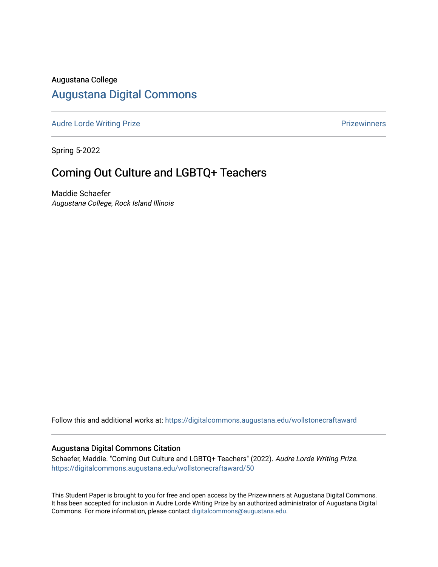## Augustana College

# [Augustana Digital Commons](https://digitalcommons.augustana.edu/)

[Audre Lorde Writing Prize](https://digitalcommons.augustana.edu/wollstonecraftaward) **Prize Audre Lorde Writing Prize** Prize Prize Prize Prize Prize Prize Prize Prize Prize

Spring 5-2022

# Coming Out Culture and LGBTQ+ Teachers

Maddie Schaefer Augustana College, Rock Island Illinois

Follow this and additional works at: [https://digitalcommons.augustana.edu/wollstonecraftaward](https://digitalcommons.augustana.edu/wollstonecraftaward?utm_source=digitalcommons.augustana.edu%2Fwollstonecraftaward%2F50&utm_medium=PDF&utm_campaign=PDFCoverPages) 

#### Augustana Digital Commons Citation

Schaefer, Maddie. "Coming Out Culture and LGBTQ+ Teachers" (2022). Audre Lorde Writing Prize. [https://digitalcommons.augustana.edu/wollstonecraftaward/50](https://digitalcommons.augustana.edu/wollstonecraftaward/50?utm_source=digitalcommons.augustana.edu%2Fwollstonecraftaward%2F50&utm_medium=PDF&utm_campaign=PDFCoverPages)

This Student Paper is brought to you for free and open access by the Prizewinners at Augustana Digital Commons. It has been accepted for inclusion in Audre Lorde Writing Prize by an authorized administrator of Augustana Digital Commons. For more information, please contact [digitalcommons@augustana.edu](mailto:digitalcommons@augustana.edu).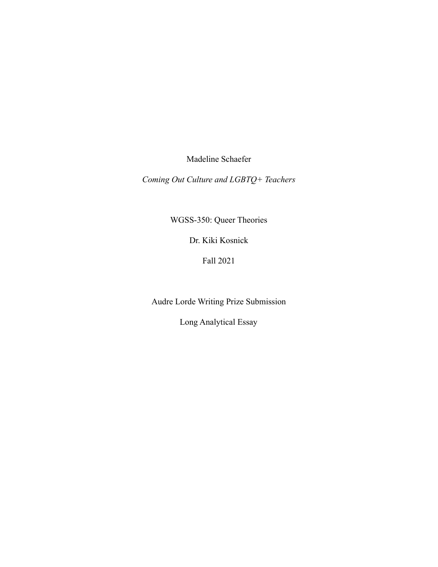Madeline Schaefer

*Coming Out Culture and LGBTQ+ Teachers*

WGSS-350: Queer Theories

Dr. Kiki Kosnick

Fall 2021

Audre Lorde Writing Prize Submission

Long Analytical Essay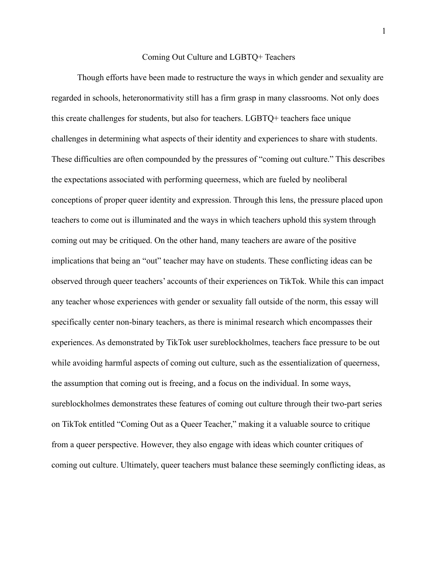### Coming Out Culture and LGBTQ+ Teachers

Though efforts have been made to restructure the ways in which gender and sexuality are regarded in schools, heteronormativity still has a firm grasp in many classrooms. Not only does this create challenges for students, but also for teachers. LGBTQ+ teachers face unique challenges in determining what aspects of their identity and experiences to share with students. These difficulties are often compounded by the pressures of "coming out culture." This describes the expectations associated with performing queerness, which are fueled by neoliberal conceptions of proper queer identity and expression. Through this lens, the pressure placed upon teachers to come out is illuminated and the ways in which teachers uphold this system through coming out may be critiqued. On the other hand, many teachers are aware of the positive implications that being an "out" teacher may have on students. These conflicting ideas can be observed through queer teachers' accounts of their experiences on TikTok. While this can impact any teacher whose experiences with gender or sexuality fall outside of the norm, this essay will specifically center non-binary teachers, as there is minimal research which encompasses their experiences. As demonstrated by TikTok user sureblockholmes, teachers face pressure to be out while avoiding harmful aspects of coming out culture, such as the essentialization of queerness, the assumption that coming out is freeing, and a focus on the individual. In some ways, sureblockholmes demonstrates these features of coming out culture through their two-part series on TikTok entitled "Coming Out as a Queer Teacher," making it a valuable source to critique from a queer perspective. However, they also engage with ideas which counter critiques of coming out culture. Ultimately, queer teachers must balance these seemingly conflicting ideas, as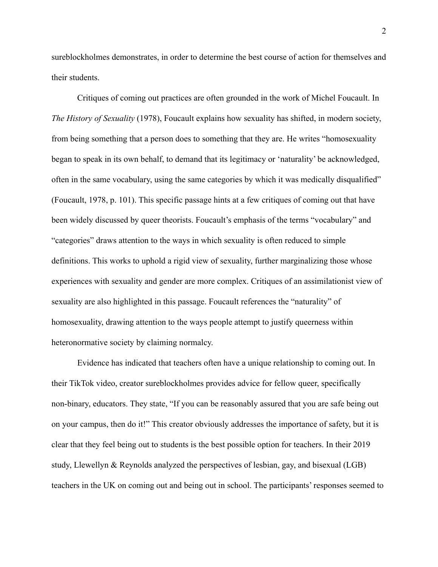sureblockholmes demonstrates, in order to determine the best course of action for themselves and their students.

Critiques of coming out practices are often grounded in the work of Michel Foucault. In *The History of Sexuality* (1978), Foucault explains how sexuality has shifted, in modern society, from being something that a person does to something that they are. He writes "homosexuality began to speak in its own behalf, to demand that its legitimacy or 'naturality' be acknowledged, often in the same vocabulary, using the same categories by which it was medically disqualified" (Foucault, 1978, p. 101). This specific passage hints at a few critiques of coming out that have been widely discussed by queer theorists. Foucault's emphasis of the terms "vocabulary" and "categories" draws attention to the ways in which sexuality is often reduced to simple definitions. This works to uphold a rigid view of sexuality, further marginalizing those whose experiences with sexuality and gender are more complex. Critiques of an assimilationist view of sexuality are also highlighted in this passage. Foucault references the "naturality" of homosexuality, drawing attention to the ways people attempt to justify queerness within heteronormative society by claiming normalcy.

Evidence has indicated that teachers often have a unique relationship to coming out. In their TikTok video, creator sureblockholmes provides advice for fellow queer, specifically non-binary, educators. They state, "If you can be reasonably assured that you are safe being out on your campus, then do it!" This creator obviously addresses the importance of safety, but it is clear that they feel being out to students is the best possible option for teachers. In their 2019 study, Llewellyn & Reynolds analyzed the perspectives of lesbian, gay, and bisexual (LGB) teachers in the UK on coming out and being out in school. The participants' responses seemed to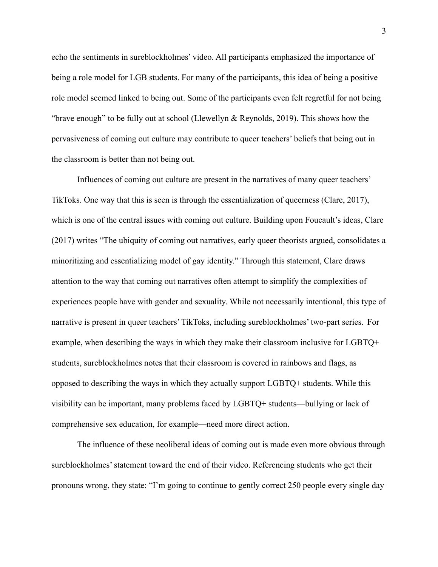echo the sentiments in sureblockholmes' video. All participants emphasized the importance of being a role model for LGB students. For many of the participants, this idea of being a positive role model seemed linked to being out. Some of the participants even felt regretful for not being "brave enough" to be fully out at school (Llewellyn & Reynolds, 2019). This shows how the pervasiveness of coming out culture may contribute to queer teachers' beliefs that being out in the classroom is better than not being out.

Influences of coming out culture are present in the narratives of many queer teachers' TikToks. One way that this is seen is through the essentialization of queerness (Clare, 2017), which is one of the central issues with coming out culture. Building upon Foucault's ideas, Clare (2017) writes "The ubiquity of coming out narratives, early queer theorists argued, consolidates a minoritizing and essentializing model of gay identity." Through this statement, Clare draws attention to the way that coming out narratives often attempt to simplify the complexities of experiences people have with gender and sexuality. While not necessarily intentional, this type of narrative is present in queer teachers' TikToks, including sureblockholmes' two-part series. For example, when describing the ways in which they make their classroom inclusive for LGBTQ+ students, sureblockholmes notes that their classroom is covered in rainbows and flags, as opposed to describing the ways in which they actually support LGBTQ+ students. While this visibility can be important, many problems faced by LGBTQ+ students—bullying or lack of comprehensive sex education, for example—need more direct action.

The influence of these neoliberal ideas of coming out is made even more obvious through sureblockholmes' statement toward the end of their video. Referencing students who get their pronouns wrong, they state: "I'm going to continue to gently correct 250 people every single day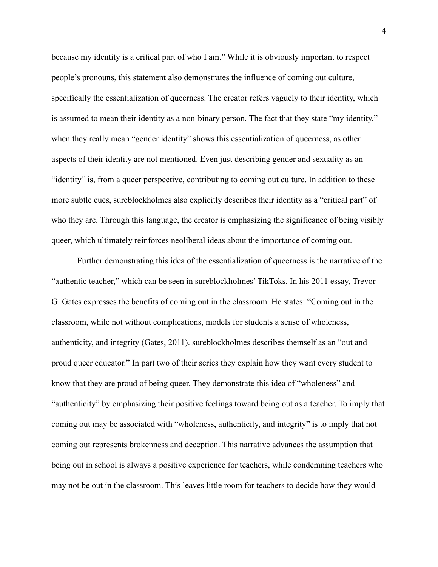because my identity is a critical part of who I am." While it is obviously important to respect people's pronouns, this statement also demonstrates the influence of coming out culture, specifically the essentialization of queerness. The creator refers vaguely to their identity, which is assumed to mean their identity as a non-binary person. The fact that they state "my identity," when they really mean "gender identity" shows this essentialization of queerness, as other aspects of their identity are not mentioned. Even just describing gender and sexuality as an "identity" is, from a queer perspective, contributing to coming out culture. In addition to these more subtle cues, sureblockholmes also explicitly describes their identity as a "critical part" of who they are. Through this language, the creator is emphasizing the significance of being visibly queer, which ultimately reinforces neoliberal ideas about the importance of coming out.

Further demonstrating this idea of the essentialization of queerness is the narrative of the "authentic teacher," which can be seen in sureblockholmes' TikToks. In his 2011 essay, Trevor G. Gates expresses the benefits of coming out in the classroom. He states: "Coming out in the classroom, while not without complications, models for students a sense of wholeness, authenticity, and integrity (Gates, 2011). sureblockholmes describes themself as an "out and proud queer educator." In part two of their series they explain how they want every student to know that they are proud of being queer. They demonstrate this idea of "wholeness" and "authenticity" by emphasizing their positive feelings toward being out as a teacher. To imply that coming out may be associated with "wholeness, authenticity, and integrity" is to imply that not coming out represents brokenness and deception. This narrative advances the assumption that being out in school is always a positive experience for teachers, while condemning teachers who may not be out in the classroom. This leaves little room for teachers to decide how they would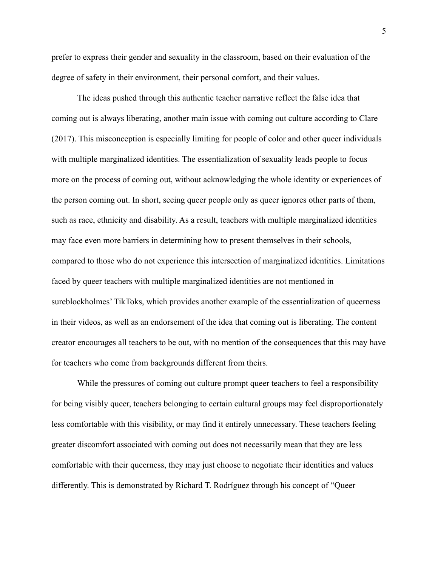prefer to express their gender and sexuality in the classroom, based on their evaluation of the degree of safety in their environment, their personal comfort, and their values.

The ideas pushed through this authentic teacher narrative reflect the false idea that coming out is always liberating, another main issue with coming out culture according to Clare (2017). This misconception is especially limiting for people of color and other queer individuals with multiple marginalized identities. The essentialization of sexuality leads people to focus more on the process of coming out, without acknowledging the whole identity or experiences of the person coming out. In short, seeing queer people only as queer ignores other parts of them, such as race, ethnicity and disability. As a result, teachers with multiple marginalized identities may face even more barriers in determining how to present themselves in their schools, compared to those who do not experience this intersection of marginalized identities. Limitations faced by queer teachers with multiple marginalized identities are not mentioned in sureblockholmes' TikToks, which provides another example of the essentialization of queerness in their videos, as well as an endorsement of the idea that coming out is liberating. The content creator encourages all teachers to be out, with no mention of the consequences that this may have for teachers who come from backgrounds different from theirs.

While the pressures of coming out culture prompt queer teachers to feel a responsibility for being visibly queer, teachers belonging to certain cultural groups may feel disproportionately less comfortable with this visibility, or may find it entirely unnecessary. These teachers feeling greater discomfort associated with coming out does not necessarily mean that they are less comfortable with their queerness, they may just choose to negotiate their identities and values differently. This is demonstrated by Richard T. Rodríguez through his concept of "Queer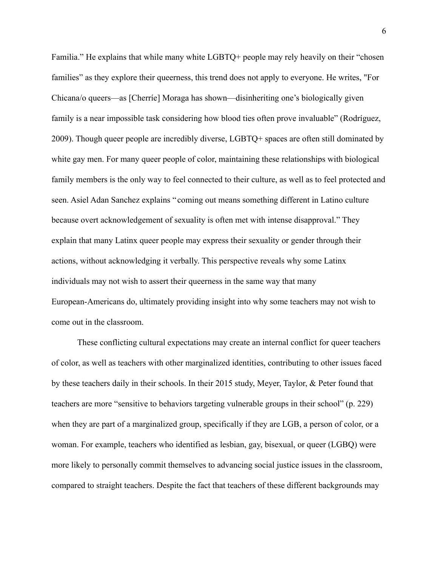Familia." He explains that while many white LGBTQ+ people may rely heavily on their "chosen families" as they explore their queerness, this trend does not apply to everyone. He writes, "For Chicana/o queers—as [Cherríe] Moraga has shown—disinheriting one's biologically given family is a near impossible task considering how blood ties often prove invaluable" ([Rodríguez,](https://www.dukeupress.edu/explore-subjects/browse?AuID=2296751) 2009). Though queer people are incredibly diverse, LGBTQ+ spaces are often still dominated by white gay men. For many queer people of color, maintaining these relationships with biological family members is the only way to feel connected to their culture, as well as to feel protected and seen. Asiel Adan Sanchez explains " coming out means something different in Latino culture because overt acknowledgement of sexuality is often met with intense disapproval." They explain that many Latinx queer people may express their sexuality or gender through their actions, without acknowledging it verbally. This perspective reveals why some Latinx individuals may not wish to assert their queerness in the same way that many European-Americans do, ultimately providing insight into why some teachers may not wish to come out in the classroom.

These conflicting cultural expectations may create an internal conflict for queer teachers of color, as well as teachers with other marginalized identities, contributing to other issues faced by these teachers daily in their schools. In their 2015 study, Meyer, Taylor, & Peter found that teachers are more "sensitive to behaviors targeting vulnerable groups in their school" (p. 229) when they are part of a marginalized group, specifically if they are LGB, a person of color, or a woman. For example, teachers who identified as lesbian, gay, bisexual, or queer (LGBQ) were more likely to personally commit themselves to advancing social justice issues in the classroom, compared to straight teachers. Despite the fact that teachers of these different backgrounds may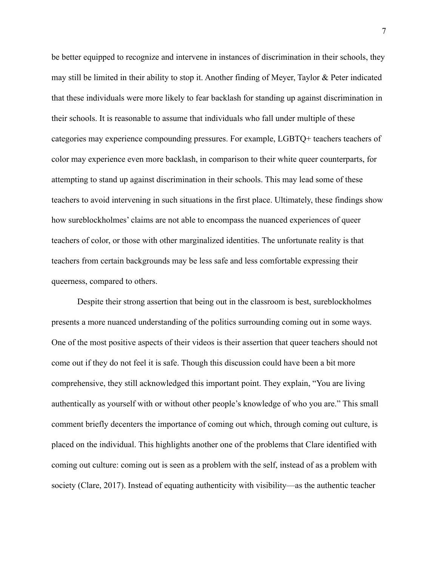be better equipped to recognize and intervene in instances of discrimination in their schools, they may still be limited in their ability to stop it. Another finding of Meyer, Taylor & Peter indicated that these individuals were more likely to fear backlash for standing up against discrimination in their schools. It is reasonable to assume that individuals who fall under multiple of these categories may experience compounding pressures. For example, LGBTQ+ teachers teachers of color may experience even more backlash, in comparison to their white queer counterparts, for attempting to stand up against discrimination in their schools. This may lead some of these teachers to avoid intervening in such situations in the first place. Ultimately, these findings show how sureblockholmes' claims are not able to encompass the nuanced experiences of queer teachers of color, or those with other marginalized identities. The unfortunate reality is that teachers from certain backgrounds may be less safe and less comfortable expressing their queerness, compared to others.

Despite their strong assertion that being out in the classroom is best, sureblockholmes presents a more nuanced understanding of the politics surrounding coming out in some ways. One of the most positive aspects of their videos is their assertion that queer teachers should not come out if they do not feel it is safe. Though this discussion could have been a bit more comprehensive, they still acknowledged this important point. They explain, "You are living authentically as yourself with or without other people's knowledge of who you are." This small comment briefly decenters the importance of coming out which, through coming out culture, is placed on the individual. This highlights another one of the problems that Clare identified with coming out culture: coming out is seen as a problem with the self, instead of as a problem with society (Clare, 2017). Instead of equating authenticity with visibility—as the authentic teacher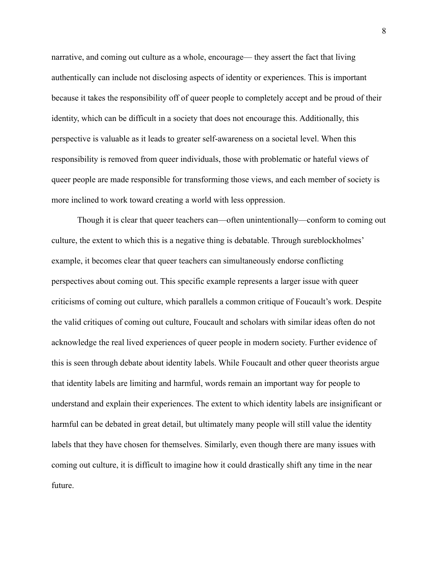narrative, and coming out culture as a whole, encourage— they assert the fact that living authentically can include not disclosing aspects of identity or experiences. This is important because it takes the responsibility off of queer people to completely accept and be proud of their identity, which can be difficult in a society that does not encourage this. Additionally, this perspective is valuable as it leads to greater self-awareness on a societal level. When this responsibility is removed from queer individuals, those with problematic or hateful views of queer people are made responsible for transforming those views, and each member of society is more inclined to work toward creating a world with less oppression.

Though it is clear that queer teachers can—often unintentionally—conform to coming out culture, the extent to which this is a negative thing is debatable. Through sureblockholmes' example, it becomes clear that queer teachers can simultaneously endorse conflicting perspectives about coming out. This specific example represents a larger issue with queer criticisms of coming out culture, which parallels a common critique of Foucault's work. Despite the valid critiques of coming out culture, Foucault and scholars with similar ideas often do not acknowledge the real lived experiences of queer people in modern society. Further evidence of this is seen through debate about identity labels. While Foucault and other queer theorists argue that identity labels are limiting and harmful, words remain an important way for people to understand and explain their experiences. The extent to which identity labels are insignificant or harmful can be debated in great detail, but ultimately many people will still value the identity labels that they have chosen for themselves. Similarly, even though there are many issues with coming out culture, it is difficult to imagine how it could drastically shift any time in the near future.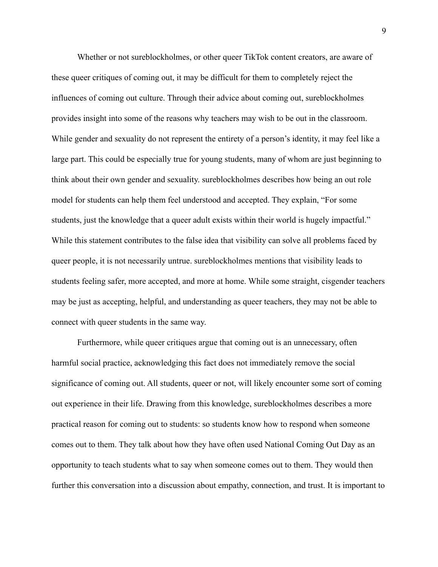Whether or not sureblockholmes, or other queer TikTok content creators, are aware of these queer critiques of coming out, it may be difficult for them to completely reject the influences of coming out culture. Through their advice about coming out, sureblockholmes provides insight into some of the reasons why teachers may wish to be out in the classroom. While gender and sexuality do not represent the entirety of a person's identity, it may feel like a large part. This could be especially true for young students, many of whom are just beginning to think about their own gender and sexuality. sureblockholmes describes how being an out role model for students can help them feel understood and accepted. They explain, "For some students, just the knowledge that a queer adult exists within their world is hugely impactful." While this statement contributes to the false idea that visibility can solve all problems faced by queer people, it is not necessarily untrue. sureblockholmes mentions that visibility leads to students feeling safer, more accepted, and more at home. While some straight, cisgender teachers may be just as accepting, helpful, and understanding as queer teachers, they may not be able to connect with queer students in the same way.

Furthermore, while queer critiques argue that coming out is an unnecessary, often harmful social practice, acknowledging this fact does not immediately remove the social significance of coming out. All students, queer or not, will likely encounter some sort of coming out experience in their life. Drawing from this knowledge, sureblockholmes describes a more practical reason for coming out to students: so students know how to respond when someone comes out to them. They talk about how they have often used National Coming Out Day as an opportunity to teach students what to say when someone comes out to them. They would then further this conversation into a discussion about empathy, connection, and trust. It is important to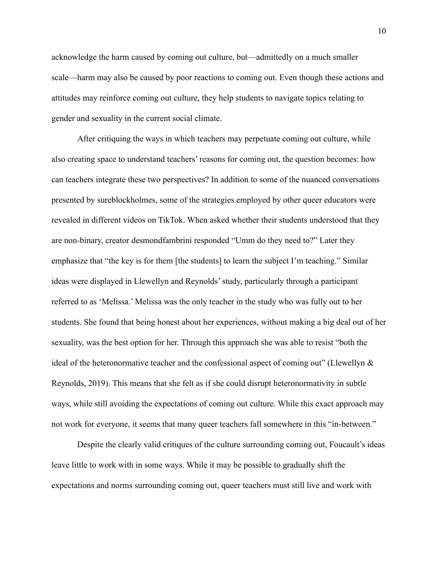acknowledge the harm caused by coming out culture, but—admittedly on a much smaller scale—harm may also be caused by poor reactions to coming out. Even though these actions and attitudes may reinforce coming out culture, they help students to navigate topics relating to gender and sexuality in the current social climate.

After critiquing the ways in which teachers may perpetuate coming out culture, while also creating space to understand teachers' reasons for coming out, the question becomes: how can teachers integrate these two perspectives? In addition to some of the nuanced conversations presented by sureblockholmes, some of the strategies employed by other queer educators were revealed in different videos on TikTok. When asked whether their students understood that they are non-binary, creator desmondfambrini responded "Umm do they need to?" Later they emphasize that "the key is for them [the students] to learn the subject I'm teaching." Similar ideas were displayed in Llewellyn and Reynolds' study, particularly through a participant referred to as 'Melissa.' Melissa was the only teacher in the study who was fully out to her students. She found that being honest about her experiences, without making a big deal out of her sexuality, was the best option for her. Through this approach she was able to resist "both the ideal of the heteronormative teacher and the confessional aspect of coming out" (Llewellyn  $\&$ Reynolds, 2019). This means that she felt as if she could disrupt heteronormativity in subtle ways, while still avoiding the expectations of coming out culture. While this exact approach may not work for everyone, it seems that many queer teachers fall somewhere in this "in-between."

Despite the clearly valid critiques of the culture surrounding coming out, Foucault's ideas leave little to work with in some ways. While it may be possible to gradually shift the expectations and norms surrounding coming out, queer teachers must still live and work with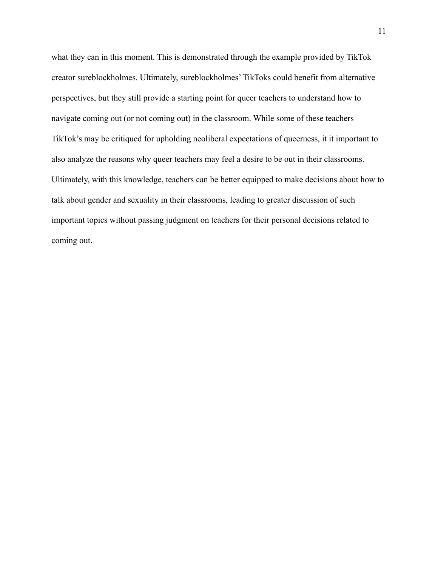what they can in this moment. This is demonstrated through the example provided by TikTok creator sureblockholmes. Ultimately, sureblockholmes' TikToks could benefit from alternative perspectives, but they still provide a starting point for queer teachers to understand how to navigate coming out (or not coming out) in the classroom. While some of these teachers TikTok's may be critiqued for upholding neoliberal expectations of queerness, it it important to also analyze the reasons why queer teachers may feel a desire to be out in their classrooms. Ultimately, with this knowledge, teachers can be better equipped to make decisions about how to talk about gender and sexuality in their classrooms, leading to greater discussion of such important topics without passing judgment on teachers for their personal decisions related to coming out.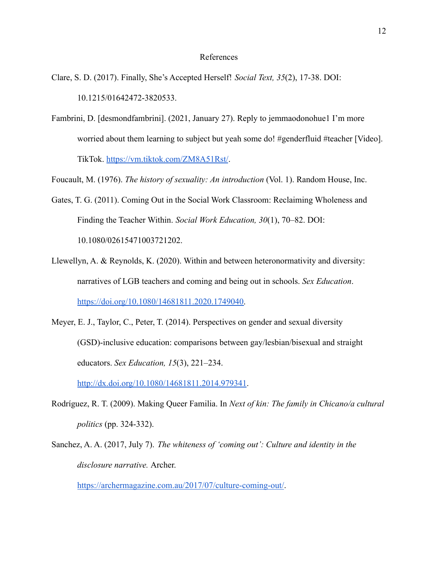### References

- Clare, S. D. (2017). Finally, She's Accepted Herself! *Social Text, 35*(2), 17-38. DOI: 10.1215/01642472-3820533.
- Fambrini, D. [desmondfambrini]. (2021, January 27). Reply to jemmaodonohue1 I'm more worried about them learning to subject but yeah some do! #genderfluid #teacher [Video]. TikTok. <https://vm.tiktok.com/ZM8A51Rst/>.

Foucault, M. (1976). *The history of sexuality: An introduction* (Vol. 1). Random House, Inc.

- Gates, T. G. (2011). Coming Out in the Social Work Classroom: Reclaiming Wholeness and Finding the Teacher Within. *Social Work Education, 30*(1), 70–82. DOI: 10.1080/02615471003721202.
- Llewellyn, A. & Reynolds, K. (2020). Within and between heteronormativity and diversity: narratives of LGB teachers and coming and being out in schools. *Sex Education*. [https://doi.org/10.1080/14681811.2020.1749040.](https://doi.org/10.1080/14681811.2020.1749040)
- Meyer, E. J., Taylor, C., Peter, T. (2014). Perspectives on gender and sexual diversity (GSD)-inclusive education: comparisons between gay/lesbian/bisexual and straight educators. *Sex Education, 15*(3), 221–234.

<http://dx.doi.org/10.1080/14681811.2014.979341>.

- [Rodríguez,](https://www.dukeupress.edu/explore-subjects/browse?AuID=2296751) R. T. (2009). Making Queer Familia. In *Next of kin: The family in Chicano/a cultural politics* (pp. 324-332).
- Sanchez, A. A. (2017, July 7). *The whiteness of 'coming out': Culture and identity in the disclosure narrative.* Archer.

<https://archermagazine.com.au/2017/07/culture-coming-out/>.